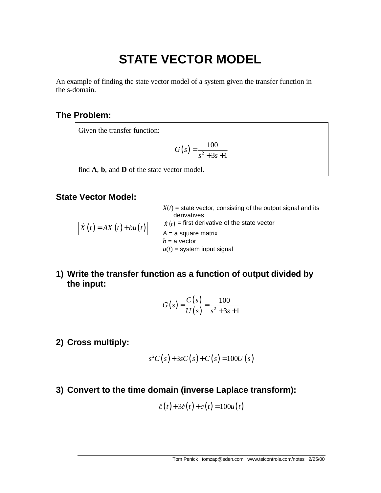# **STATE VECTOR MODEL**

An example of finding the state vector model of a system given the transfer function in the s-domain.

## **The Problem:**

Given the transfer function:

$$
G(s) = \frac{100}{s^2 + 3s + 1}
$$

find **A**, **b**, and **D** of the state vector model.

### **State Vector Model:**

| $\dot{X}(t) = AX(t)+bu(t)$ | $X(t)$ = state vector, consisting of the output signal and its<br>derivatives<br>$\dot{X}(t)$ = first derivative of the state vector<br>$A = a$ square matrix<br>$b = a$ vector<br>$u(t)$ = system input signal |
|----------------------------|-----------------------------------------------------------------------------------------------------------------------------------------------------------------------------------------------------------------|
|                            |                                                                                                                                                                                                                 |
|                            |                                                                                                                                                                                                                 |

**1) Write the transfer function as a function of output divided by the input:**

$$
G(s) = \frac{C(s)}{U(s)} = \frac{100}{s^2 + 3s + 1}
$$

**2) Cross multiply:**

$$
s^{2}C(s)+3sC(s)+C(s)=100U(s)
$$

**3) Convert to the time domain (inverse Laplace transform):**

$$
\ddot{c}(t) + 3\dot{c}(t) + c(t) = 100u(t)
$$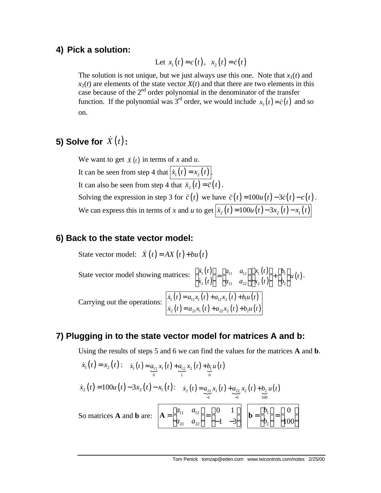## **4) Pick a solution:**

Let 
$$
x_1(t) = c(t), x_2(t) = \dot{c}(t)
$$

The solution is not unique, but we just always use this one. Note that  $x_1(t)$  and  $x_2(t)$  are elements of the state vector  $X(t)$  and that there are two elements in this case because of the  $2<sup>nd</sup>$  order polynomial in the denominator of the transfer function. If the polynomial was 3<sup>rd</sup> order, we would include  $x_3(t) = \ddot{c}(t)$  and so on.

# **5) Solve for**  $\dot{X}(t)$  :

We want to get  $\dot{x}(t)$  in terms of *x* and *u*. It can be seen from step 4 that  $|\dot{x}_1(t) = x_2(t)|$ . It can also be seen from step 4 that  $\dot{x}_2(t) = \ddot{c}(t)$ . Solving the expression in step 3 for  $\ddot{c}(t)$  we have  $\ddot{c}(t) = 100u(t) - 3\dot{c}(t) - c(t)$ . We can express this in terms of *x* and *u* to get  $\left|\dot{x}_2(t)\right| = 100u(t) - 3x_2(t) - x_1(t)$ 

### **6) Back to the state vector model:**

State vector model:  $\dot{X}(t) = AX(t) + bu(t)$ State vector model showing matrices:  $\begin{bmatrix} \dot{x}_1(t) \\ \dot{x}_2(t) \end{bmatrix}$  $(t)$  $(t)$  $(t)$  $\begin{bmatrix} 1 \end{bmatrix}$   $\begin{bmatrix} u_1 \\ v_2 \end{bmatrix}$   $\begin{bmatrix} u_{11} & u_{12} \\ u_{11} & u_{12} \end{bmatrix}$   $\begin{bmatrix} \lambda_1 \end{bmatrix}$   $\begin{bmatrix} t \\ t \end{bmatrix}$   $\begin{bmatrix} u \\ u \\ u \end{bmatrix}$ 2  $\binom{l}{2}$   $\binom{u_{21} u_{22}}{2}$   $\binom{u_{22}}{2}$  $\begin{bmatrix} \dot{x}_1(t) \\ \dot{x}_2(t) \end{bmatrix} = \begin{bmatrix} a_{11} & a_{12} \end{bmatrix} \begin{bmatrix} x_1(t) \\ x_2(t) \end{bmatrix} + \begin{bmatrix} b_1 \end{bmatrix} u(t)$  $\begin{bmatrix} \dot{x}_1(t) \\ \dot{x}_2(t) \end{bmatrix} = \begin{bmatrix} a_{11} & a_{12} \\ a_{21} & a_{22} \end{bmatrix} \begin{bmatrix} x_1(t) \\ x_2(t) \end{bmatrix} + \begin{bmatrix} b_1 \\ b_2 \end{bmatrix}$  $\dot{x}$ Carrying out the operations:  $\begin{vmatrix} \dot{x}_1(t) = a_{11}x_1(t) + a_{12}x_2(t) + b_1u(t) \end{vmatrix}$  $(t) = a_{21}x_1(t) + a_{22}x_2(t) + b_2u(t)$  $1^{1}$  1 1  $u_{11}$  $1^{1}$  1  $u_{11}$  1  $u_{12}$  $1^{2}$  1  $u_{11}$ 2  $(\ell)$  –  $u_{21}x_1(\ell)$  +  $u_{22}x_2(\ell)$  +  $v_{21}$  $\dot{x}_1(t) = a_{11}x_1(t) + a_{12}x_2(t) + b_1u(t)$  $\dot{x}$ <sub>2</sub> $(t) = a_{21}x_1(t) + a_{22}x_2(t) + b_2u(t)$  $=a_{11}x_1(t)+a_{12}x_2(t)+$  $=a_{21}x_1(t)+a_{22}x_2(t)+$  $\dot{x}$  $\dot{x}$ 

#### **7) Plugging in to the state vector model for matrices A and b:**

Using the results of steps 5 and 6 we can find the values for the matrices **A** and **b**.

$$
\dot{x}_1(t) = x_2(t): \n\dot{x}_1(t) = \underbrace{a_{11}}_{0} x_1(t) + \underbrace{a_{12}}_{1} x_2(t) + \underbrace{b_1}_{0} u(t)
$$
\n
$$
\dot{x}_2(t) = 100u(t) - 3x_2(t) - x_1(t): \n\dot{x}_2(t) = \underbrace{a_{21}}_{-1} x_1(t) + \underbrace{a_{22}}_{-3} x_2(t) + \underbrace{b_2}_{100} u(t)
$$
\nSo matrices **A** and **b** are: \n
$$
\begin{bmatrix}\nA = \begin{bmatrix}\na_{11} & a_{12} \\
a_{21} & a_{22}\n\end{bmatrix} = \begin{bmatrix}\n0 & 1 \\
-1 & -3\n\end{bmatrix}\n\begin{bmatrix}\n\mathbf{b} = \begin{bmatrix}\nb_1 \\
b_2\n\end{bmatrix} = \begin{bmatrix}\n0 \\
100\n\end{bmatrix}
$$

.